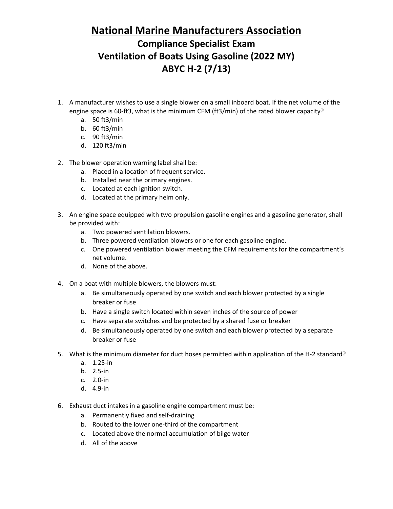## **National Marine Manufacturers Association**

## **Compliance Specialist Exam Ventilation of Boats Using Gasoline (2022 MY) ABYC H-2 (7/13)**

- 1. A manufacturer wishes to use a single blower on a small inboard boat. If the net volume of the engine space is 60-ft3, what is the minimum CFM (ft3/min) of the rated blower capacity?
	- a. 50 ft3/min
	- b. 60 ft3/min
	- c. 90 ft3/min
	- d. 120 ft3/min
- 2. The blower operation warning label shall be:
	- a. Placed in a location of frequent service.
	- b. Installed near the primary engines.
	- c. Located at each ignition switch.
	- d. Located at the primary helm only.
- 3. An engine space equipped with two propulsion gasoline engines and a gasoline generator, shall be provided with:
	- a. Two powered ventilation blowers.
	- b. Three powered ventilation blowers or one for each gasoline engine.
	- c. One powered ventilation blower meeting the CFM requirements for the compartment's net volume.
	- d. None of the above.
- 4. On a boat with multiple blowers, the blowers must:
	- a. Be simultaneously operated by one switch and each blower protected by a single breaker or fuse
	- b. Have a single switch located within seven inches of the source of power
	- c. Have separate switches and be protected by a shared fuse or breaker
	- d. Be simultaneously operated by one switch and each blower protected by a separate breaker or fuse
- 5. What is the minimum diameter for duct hoses permitted within application of the H-2 standard?
	- a. 1.25-in
	- b. 2.5-in
	- c. 2.0-in
	- d. 4.9-in
- 6. Exhaust duct intakes in a gasoline engine compartment must be:
	- a. Permanently fixed and self-draining
	- b. Routed to the lower one-third of the compartment
	- c. Located above the normal accumulation of bilge water
	- d. All of the above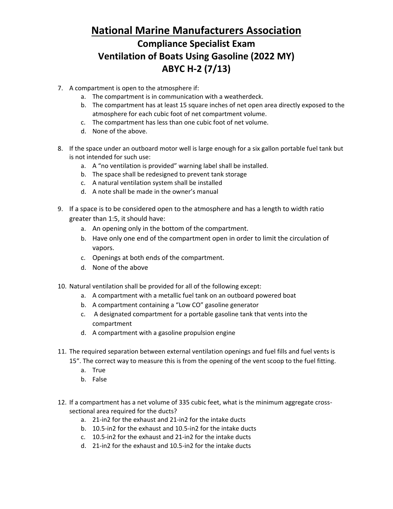## **National Marine Manufacturers Association Compliance Specialist Exam Ventilation of Boats Using Gasoline (2022 MY) ABYC H-2 (7/13)**

- 7. A compartment is open to the atmosphere if:
	- a. The compartment is in communication with a weatherdeck.
	- b. The compartment has at least 15 square inches of net open area directly exposed to the atmosphere for each cubic foot of net compartment volume.
	- c. The compartment has less than one cubic foot of net volume.
	- d. None of the above.
- 8. If the space under an outboard motor well is large enough for a six gallon portable fuel tank but is not intended for such use:
	- a. A "no ventilation is provided" warning label shall be installed.
	- b. The space shall be redesigned to prevent tank storage
	- c. A natural ventilation system shall be installed
	- d. A note shall be made in the owner's manual
- 9. If a space is to be considered open to the atmosphere and has a length to width ratio greater than 1:5, it should have:
	- a. An opening only in the bottom of the compartment.
	- b. Have only one end of the compartment open in order to limit the circulation of vapors.
	- c. Openings at both ends of the compartment.
	- d. None of the above
- 10. Natural ventilation shall be provided for all of the following except:
	- a. A compartment with a metallic fuel tank on an outboard powered boat
	- b. A compartment containing a "Low CO" gasoline generator
	- c. A designated compartment for a portable gasoline tank that vents into the compartment
	- d. A compartment with a gasoline propulsion engine
- 11. The required separation between external ventilation openings and fuel fills and fuel vents is 15". The correct way to measure this is from the opening of the vent scoop to the fuel fitting.
	- a. True
	- b. False
- 12. If a compartment has a net volume of 335 cubic feet, what is the minimum aggregate crosssectional area required for the ducts?
	- a. 21-in2 for the exhaust and 21-in2 for the intake ducts
	- b. 10.5-in2 for the exhaust and 10.5-in2 for the intake ducts
	- c. 10.5-in2 for the exhaust and 21-in2 for the intake ducts
	- d. 21-in2 for the exhaust and 10.5-in2 for the intake ducts